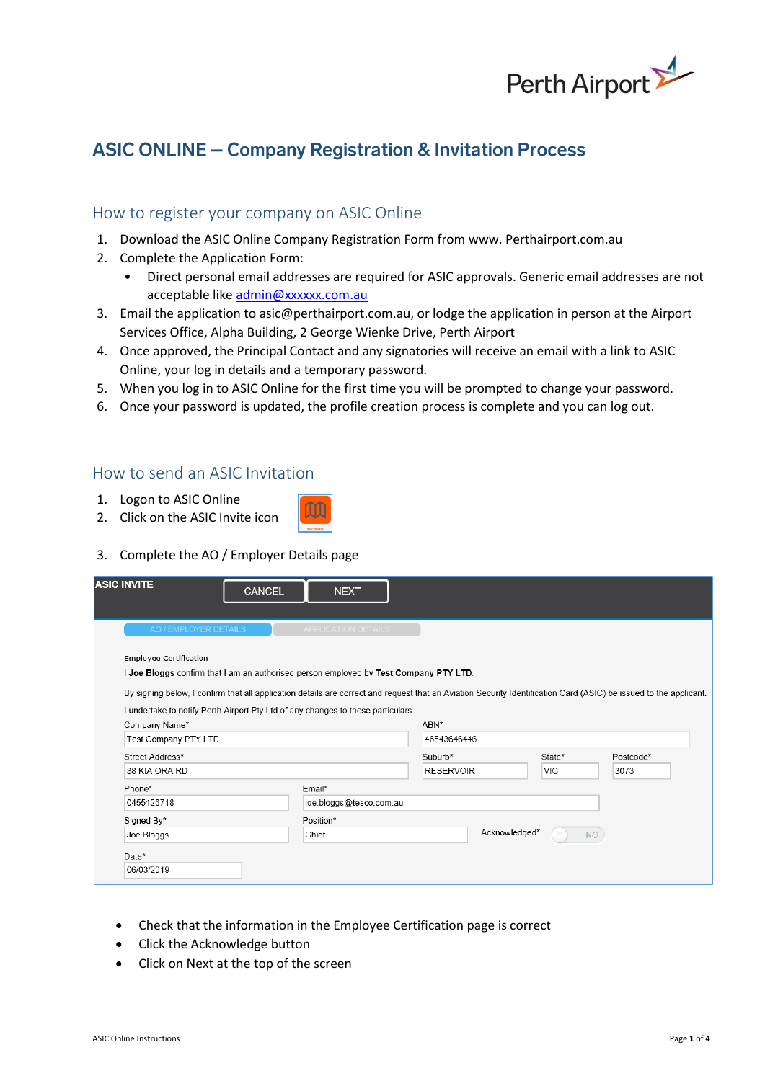

# **ASIC ONLINE - Company Registration & Invitation Process**

### How to register your company on ASIC Online

- 1. Download the ASIC Online Company Registration Form from www. Perthairport.com.au
- 2. Complete the Application Form:
	- Direct personal email addresses are required for ASIC approvals. Generic email addresses are not acceptable lik[e admin@xxxxxx.com.au](mailto:admin@xxxxxx.com.au)
- 3. Email the application to asic@perthairport.com.au, or lodge the application in person at the Airport Services Office, Alpha Building, 2 George Wienke Drive, Perth Airport
- 4. Once approved, the Principal Contact and any signatories will receive an email with a link to ASIC Online, your log in details and a temporary password.
- 5. When you log in to ASIC Online for the first time you will be prompted to change your password.
- 6. Once your password is updated, the profile creation process is complete and you can log out.

### How to send an ASIC Invitation

- 1. Logon to ASIC Online
- 2. Click on the ASIC Invite icon
- 3. Complete the AO / Employer Details page

| <b>ASIC INVITE</b>                                                                                                                                                | <b>CANCEL</b> | <b>NEXT</b>                |                  |               |            |           |
|-------------------------------------------------------------------------------------------------------------------------------------------------------------------|---------------|----------------------------|------------------|---------------|------------|-----------|
| AO / EMPLOYER DETAILS                                                                                                                                             |               | <b>APPLICATION DETAILS</b> |                  |               |            |           |
| <b>Employee Certification</b>                                                                                                                                     |               |                            |                  |               |            |           |
| I Joe Bloggs confirm that I am an authorised person employed by Test Company PTY LTD.                                                                             |               |                            |                  |               |            |           |
| By signing below, I confirm that all application details are correct and request that an Aviation Security Identification Card (ASIC) be issued to the applicant. |               |                            |                  |               |            |           |
| I undertake to notify Perth Airport Pty Ltd of any changes to these particulars.                                                                                  |               |                            |                  |               |            |           |
|                                                                                                                                                                   |               |                            |                  |               |            |           |
| Company Name*                                                                                                                                                     |               |                            | ABN*             |               |            |           |
| Test Company PTY LTD                                                                                                                                              |               |                            | 46543646446      |               |            |           |
| Street Address*                                                                                                                                                   |               |                            | $Suburb*$        |               | State*     | Postcode* |
| 38 KIA ORA RD                                                                                                                                                     |               |                            | <b>RESERVOIR</b> |               | <b>VIC</b> | 3073      |
| Phone*                                                                                                                                                            |               | Email*                     |                  |               |            |           |
| 0455126718                                                                                                                                                        |               | joe.bloggs@tesco.com.au    |                  |               |            |           |
| Signed By*                                                                                                                                                        |               | Position*                  |                  |               |            |           |
| Joe Bloggs                                                                                                                                                        |               | Chief                      |                  | Acknowledged* | $\equiv$   | <b>NO</b> |
| Date*                                                                                                                                                             |               |                            |                  |               |            |           |

- Check that the information in the Employee Certification page is correct
- Click the Acknowledge button
- Click on Next at the top of the screen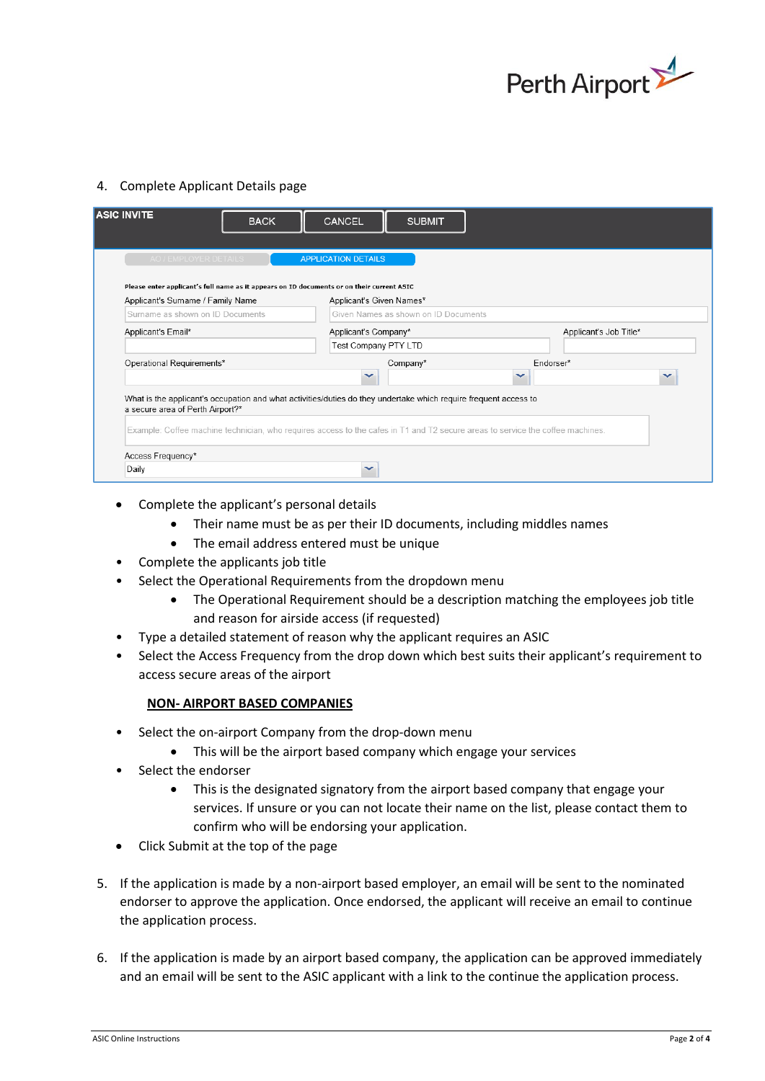

#### 4. Complete Applicant Details page

| <b>ASIC INVITE</b>                                                                        | <b>BACK</b> | <b>CANCEL</b>              | <b>SUBMIT</b>                                                                                                    |                                                                                                                                |  |
|-------------------------------------------------------------------------------------------|-------------|----------------------------|------------------------------------------------------------------------------------------------------------------|--------------------------------------------------------------------------------------------------------------------------------|--|
|                                                                                           |             |                            |                                                                                                                  |                                                                                                                                |  |
| AO / EMPLOYER DETAILS                                                                     |             | <b>APPLICATION DETAILS</b> |                                                                                                                  |                                                                                                                                |  |
| Please enter applicant's full name as it appears on ID documents or on their current ASIC |             |                            |                                                                                                                  |                                                                                                                                |  |
| Applicant's Surname / Family Name                                                         |             | Applicant's Given Names*   |                                                                                                                  |                                                                                                                                |  |
| Surname as shown on ID Documents                                                          |             |                            | Given Names as shown on ID Documents                                                                             |                                                                                                                                |  |
| Applicant's Email*                                                                        |             | Applicant's Company*       |                                                                                                                  | Applicant's Job Title*                                                                                                         |  |
|                                                                                           |             | Test Company PTY LTD       |                                                                                                                  |                                                                                                                                |  |
| Operational Requirements*                                                                 |             |                            | Company*                                                                                                         | Endorser*                                                                                                                      |  |
|                                                                                           |             | $\checkmark$               |                                                                                                                  | $\checkmark$                                                                                                                   |  |
| a secure area of Perth Airport?*                                                          |             |                            | What is the applicant's occupation and what activities/duties do they undertake which require frequent access to | Example: Coffee machine technician, who requires access to the cafes in T1 and T2 secure areas to service the coffee machines. |  |
|                                                                                           |             |                            |                                                                                                                  |                                                                                                                                |  |
| Access Frequency*                                                                         |             |                            |                                                                                                                  |                                                                                                                                |  |
| Daily                                                                                     |             |                            |                                                                                                                  |                                                                                                                                |  |

- Complete the applicant's personal details
	- Their name must be as per their ID documents, including middles names
	- The email address entered must be unique
- Complete the applicants job title
- Select the Operational Requirements from the dropdown menu
	- The Operational Requirement should be a description matching the employees job title and reason for airside access (if requested)
- Type a detailed statement of reason why the applicant requires an ASIC
- Select the Access Frequency from the drop down which best suits their applicant's requirement to access secure areas of the airport

#### **NON- AIRPORT BASED COMPANIES**

- Select the on-airport Company from the drop-down menu
	- This will be the airport based company which engage your services
- Select the endorser
	- This is the designated signatory from the airport based company that engage your services. If unsure or you can not locate their name on the list, please contact them to confirm who will be endorsing your application.
- Click Submit at the top of the page
- 5. If the application is made by a non-airport based employer, an email will be sent to the nominated endorser to approve the application. Once endorsed, the applicant will receive an email to continue the application process.
- 6. If the application is made by an airport based company, the application can be approved immediately and an email will be sent to the ASIC applicant with a link to the continue the application process.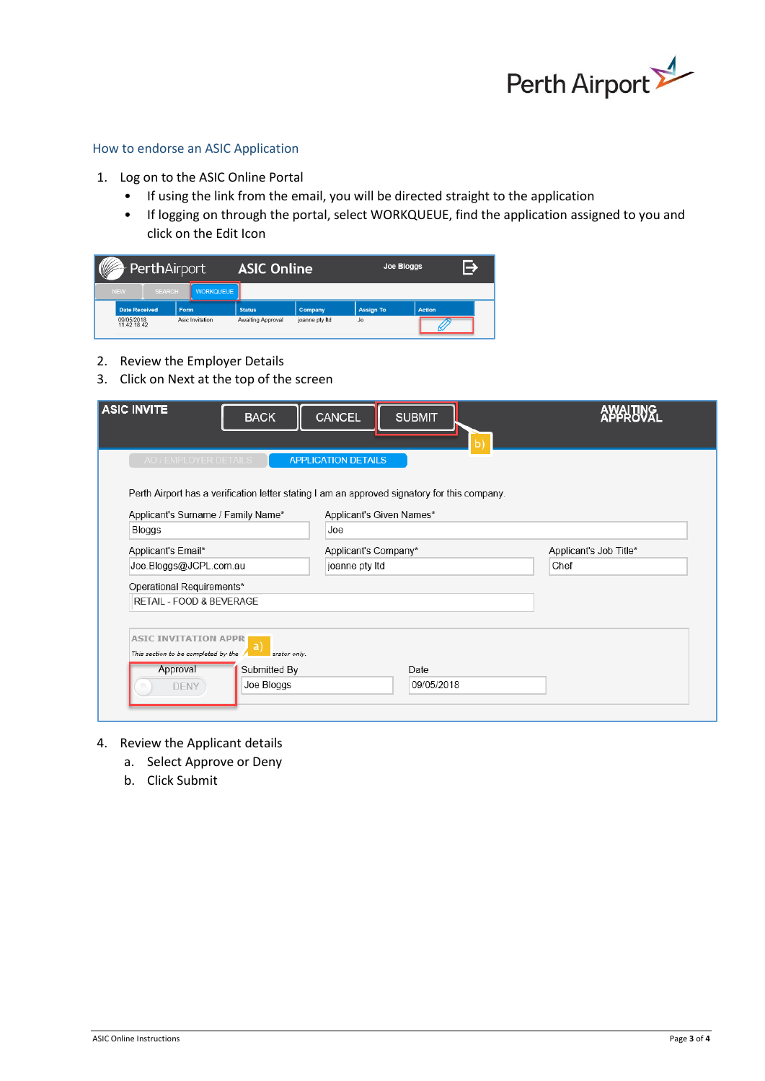

#### How to endorse an ASIC Application

- 1. Log on to the ASIC Online Portal
	- If using the link from the email, you will be directed straight to the application
	- If logging on through the portal, select WORKQUEUE, find the application assigned to you and click on the Edit Icon

| V                         | PerthAirport  |       | <b>ASIC Online</b> |                   | Joe Bloggs     |                  |        |  |
|---------------------------|---------------|-------|--------------------|-------------------|----------------|------------------|--------|--|
| <b>NEW</b>                | <b>SEARCH</b> |       | <b>WORKQUEUE</b>   |                   |                |                  |        |  |
| <b>Date Received</b>      |               | Form. |                    | <b>Status</b>     | <b>Company</b> | <b>Assign To</b> | Action |  |
| 09/05/2018<br>11:42:18.42 |               |       | Asic Invitation    | Awaiting Approval | joanne pty Itd | Jo               |        |  |

- 2. Review the Employer Details
- 3. Click on Next at the top of the screen

| <b>ASIC INVITE</b><br><b>BACK</b>                        | <b>CANCEL</b><br><b>SUBMIT</b><br>ы                                                          | <b>AYAHANG</b>         |  |
|----------------------------------------------------------|----------------------------------------------------------------------------------------------|------------------------|--|
| AO / EMPLOYER DETAILS                                    | <b>APPLICATION DETAILS</b>                                                                   |                        |  |
|                                                          | Perth Airport has a verification letter stating I am an approved signatory for this company. |                        |  |
| Applicant's Surname / Family Name*                       | Applicant's Given Names*                                                                     |                        |  |
| <b>Bloggs</b>                                            | Joe                                                                                          |                        |  |
| Applicant's Email*                                       | Applicant's Company*                                                                         | Applicant's Job Title* |  |
| Joe.Bloggs@JCPL.com.au                                   | joanne pty Itd                                                                               | Chef                   |  |
| Operational Requirements*                                |                                                                                              |                        |  |
| RETAIL - FOOD & BEVERAGE                                 |                                                                                              |                        |  |
|                                                          |                                                                                              |                        |  |
| <b>ASIC INVITATION APPR</b>                              |                                                                                              |                        |  |
| a<br>This section to be completed by the<br>erator only. |                                                                                              |                        |  |
| Approval<br>Submitted By                                 | Date                                                                                         |                        |  |
| Joe Bloggs<br><b>DENY</b>                                | 09/05/2018                                                                                   |                        |  |
|                                                          |                                                                                              |                        |  |

- 4. Review the Applicant details
	- a. Select Approve or Deny
	- b. Click Submit